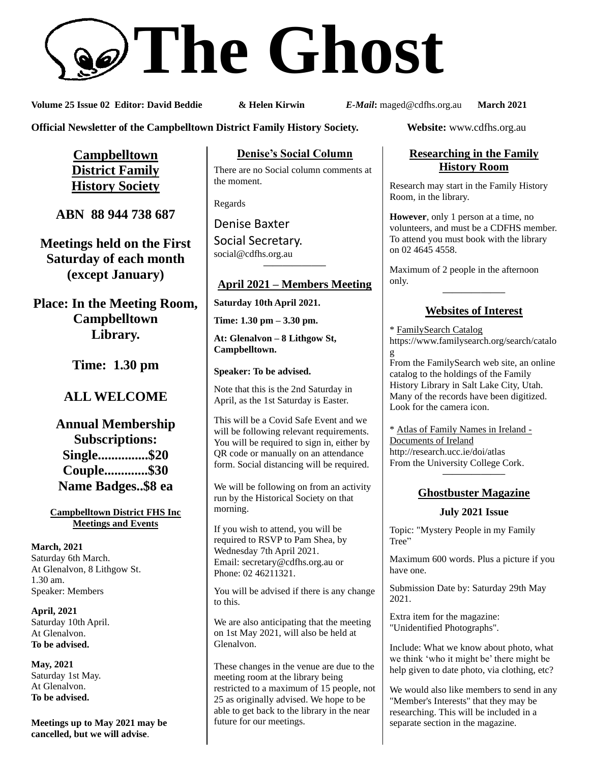# **The Ghost**

**Volume 25 Issue 02 Editor: David Beddie & Helen Kirwin** *E-Mail***:** maged@cdfhs.org.au **March 2021**

**Official Newsletter of the Campbelltown District Family History Society. Website:** www.cdfhs.org.au

**Campbelltown District Family History Society**

**ABN 88 944 738 687**

**Meetings held on the First Saturday of each month (except January)**

**Place: In the Meeting Room, Campbelltown Library.**

**Time: 1.30 pm**

# **ALL WELCOME**

**Annual Membership Subscriptions: Single...............\$20 Couple.............\$30 Name Badges..\$8 ea**

**Campbelltown District FHS Inc Meetings and Events**

**March, 2021** Saturday 6th March. At Glenalvon, 8 Lithgow St. 1.30 am. Speaker: Members

**April, 2021** Saturday 10th April. At Glenalvon. **To be advised.**

**May, 2021** Saturday 1st May. At Glenalvon. **To be advised.**

**Meetings up to May 2021 may be cancelled, but we will advise**.

**Denise's Social Column**

There are no Social column comments at the moment.

Regards

Denise Baxter Social Secretary. [social@cdfhs.org.au](mailto:social@cdfhs.org.au) **——————–**

# **April 2021 – Members Meeting**

**Saturday 10th April 2021.**

**Time: 1.30 pm – 3.30 pm.**

**At: Glenalvon – 8 Lithgow St, Campbelltown.**

**Speaker: To be advised.**

Note that this is the 2nd Saturday in April, as the 1st Saturday is Easter.

This will be a Covid Safe Event and we will be following relevant requirements. You will be required to sign in, either by QR code or manually on an attendance form. Social distancing will be required.

We will be following on from an activity run by the Historical Society on that morning.

If you wish to attend, you will be required to RSVP to Pam Shea, by Wednesday 7th April 2021. Email: [secretary@cdfhs.org.au](mailto:secretary@cdfhs.org.au) or Phone: 02 46211321.

You will be advised if there is any change to this.

We are also anticipating that the meeting on 1st May 2021, will also be held at Glenalvon.

These changes in the venue are due to the meeting room at the library being restricted to a maximum of 15 people, not 25 as originally advised. We hope to be able to get back to the library in the near future for our meetings.

## **Researching in the Family History Room**

Research may start in the Family History Room, in the library.

**However**, only 1 person at a time, no volunteers, and must be a CDFHS member. To attend you must book with the library on 02 4645 4558.

Maximum of 2 people in the afternoon only.

# **——————– Websites of Interest**

\* FamilySearch Catalog https://www.familysearch.org/search/catalo g From the FamilySearch web site, an online

catalog to the holdings of the Family History Library in Salt Lake City, Utah. Many of the records have been digitized. Look for the camera icon.

\* Atlas of Family Names in Ireland - Documents of Ireland http://research.ucc.ie/doi/atlas From the University College Cork. **——————–**

## **Ghostbuster Magazine**

#### **July 2021 Issue**

Topic: "Mystery People in my Family Tree"

Maximum 600 words. Plus a picture if you have one.

Submission Date by: Saturday 29th May 2021.

Extra item for the magazine: "Unidentified Photographs".

Include: What we know about photo, what we think 'who it might be' there might be help given to date photo, via clothing, etc?

We would also like members to send in any "Member's Interests" that they may be researching. This will be included in a separate section in the magazine.